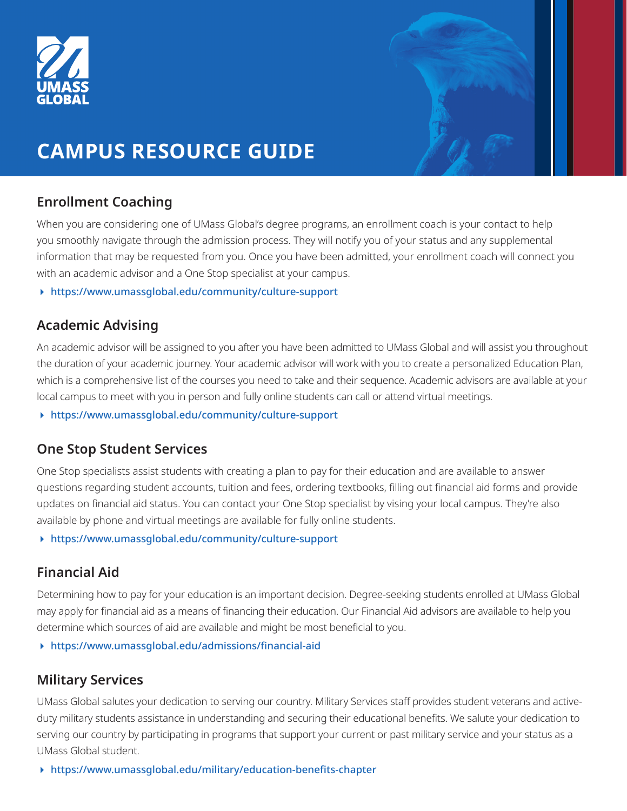



# **CAMPUS RESOURCE GUIDE**

## **Enrollment Coaching**

When you are considering one of UMass Global's degree programs, an enrollment coach is your contact to help you smoothly navigate through the admission process. They will notify you of your status and any supplemental information that may be requested from you. Once you have been admitted, your enrollment coach will connect you with an academic advisor and a One Stop specialist at your campus.

https://www.umassglobal.edu/community/culture-support

### **Academic Advising**

An academic advisor will be assigned to you after you have been admitted to UMass Global and will assist you throughout the duration of your academic journey. Your academic advisor will work with you to create a personalized Education Plan, which is a comprehensive list of the courses you need to take and their sequence. Academic advisors are available at your local campus to meet with you in person and fully online students can call or attend virtual meetings.

https://www.umassglobal.edu/community/culture-support

#### **One Stop Student Services**

One Stop specialists assist students with creating a plan to pay for their education and are available to answer questions regarding student accounts, tuition and fees, ordering textbooks, filling out financial aid forms and provide updates on financial aid status. You can contact your One Stop specialist by vising your local campus. They're also available by phone and virtual meetings are available for fully online students.

https://www.umassglobal.edu/community/culture-support

## **Financial Aid**

Determining how to pay for your education is an important decision. Degree-seeking students enrolled at UMass Global may apply for financial aid as a means of financing their education. Our Financial Aid advisors are available to help you determine which sources of aid are available and might be most beneficial to you.

https://www.umassglobal.edu/admissions/financial-aid

#### **Military Services**

UMass Global salutes your dedication to serving our country. Military Services staff provides student veterans and activeduty military students assistance in understanding and securing their educational benefits. We salute your dedication to serving our country by participating in programs that support your current or past military service and your status as a UMass Global student.

https://www.umassglobal.edu/military/education-benefits-chapter